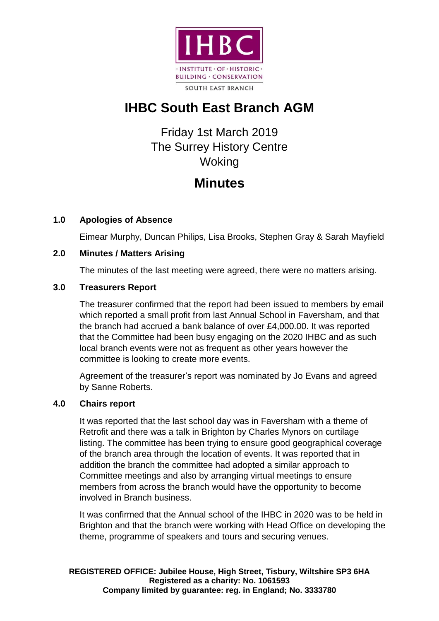

# **IHBC South East Branch AGM**

## Friday 1st March 2019 The Surrey History Centre Woking

# **Minutes**

### **1.0 Apologies of Absence**

Eimear Murphy, Duncan Philips, Lisa Brooks, Stephen Gray & Sarah Mayfield

### **2.0 Minutes / Matters Arising**

The minutes of the last meeting were agreed, there were no matters arising.

### **3.0 Treasurers Report**

The treasurer confirmed that the report had been issued to members by email which reported a small profit from last Annual School in Faversham, and that the branch had accrued a bank balance of over £4,000.00. It was reported that the Committee had been busy engaging on the 2020 IHBC and as such local branch events were not as frequent as other years however the committee is looking to create more events.

Agreement of the treasurer's report was nominated by Jo Evans and agreed by Sanne Roberts.

### **4.0 Chairs report**

It was reported that the last school day was in Faversham with a theme of Retrofit and there was a talk in Brighton by Charles Mynors on curtilage listing. The committee has been trying to ensure good geographical coverage of the branch area through the location of events. It was reported that in addition the branch the committee had adopted a similar approach to Committee meetings and also by arranging virtual meetings to ensure members from across the branch would have the opportunity to become involved in Branch business.

It was confirmed that the Annual school of the IHBC in 2020 was to be held in Brighton and that the branch were working with Head Office on developing the theme, programme of speakers and tours and securing venues.

**REGISTERED OFFICE: Jubilee House, High Street, Tisbury, Wiltshire SP3 6HA Registered as a charity: No. 1061593 Company limited by guarantee: reg. in England; No. 3333780**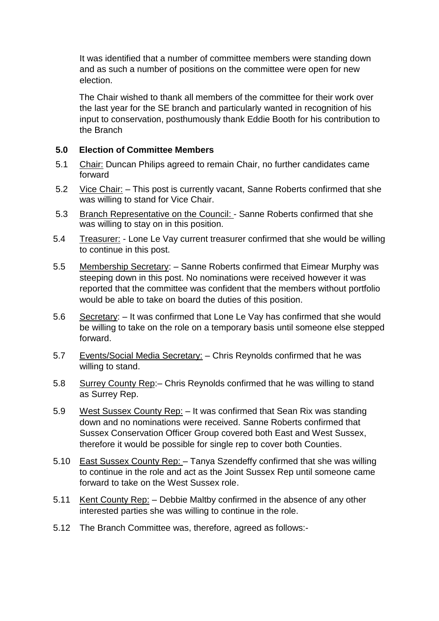It was identified that a number of committee members were standing down and as such a number of positions on the committee were open for new election.

The Chair wished to thank all members of the committee for their work over the last year for the SE branch and particularly wanted in recognition of his input to conservation, posthumously thank Eddie Booth for his contribution to the Branch

#### **5.0 Election of Committee Members**

- 5.1 Chair: Duncan Philips agreed to remain Chair, no further candidates came forward
- 5.2 Vice Chair: This post is currently vacant, Sanne Roberts confirmed that she was willing to stand for Vice Chair.
- 5.3 Branch Representative on the Council: Sanne Roberts confirmed that she was willing to stay on in this position.
- 5.4 Treasurer: Lone Le Vay current treasurer confirmed that she would be willing to continue in this post.
- 5.5 Membership Secretary: Sanne Roberts confirmed that Eimear Murphy was steeping down in this post. No nominations were received however it was reported that the committee was confident that the members without portfolio would be able to take on board the duties of this position.
- 5.6 Secretary: It was confirmed that Lone Le Vay has confirmed that she would be willing to take on the role on a temporary basis until someone else stepped forward.
- 5.7 Events/Social Media Secretary: Chris Reynolds confirmed that he was willing to stand.
- 5.8 Surrey County Rep:– Chris Reynolds confirmed that he was willing to stand as Surrey Rep.
- 5.9 West Sussex County Rep: It was confirmed that Sean Rix was standing down and no nominations were received. Sanne Roberts confirmed that Sussex Conservation Officer Group covered both East and West Sussex, therefore it would be possible for single rep to cover both Counties.
- 5.10 East Sussex County Rep: Tanya Szendeffy confirmed that she was willing to continue in the role and act as the Joint Sussex Rep until someone came forward to take on the West Sussex role.
- 5.11 Kent County Rep: Debbie Maltby confirmed in the absence of any other interested parties she was willing to continue in the role.
- 5.12 The Branch Committee was, therefore, agreed as follows:-